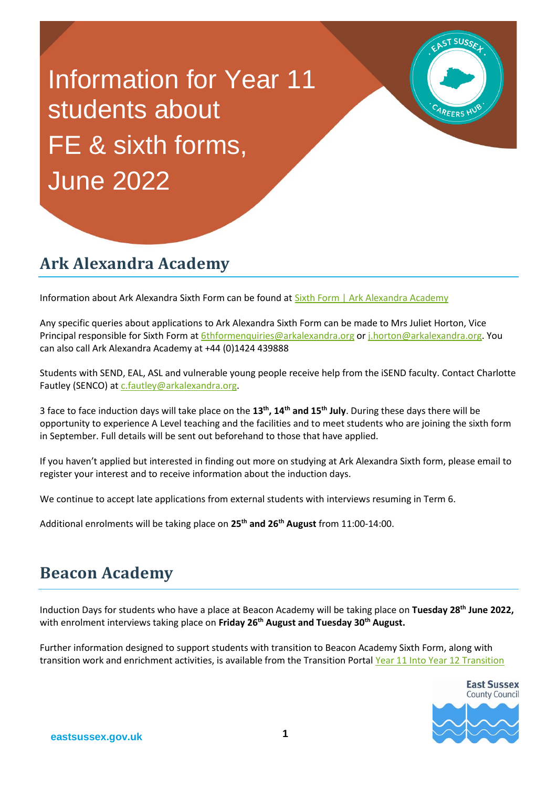Information for Year 11 students about FE & sixth forms, June 2022

# **Ark Alexandra Academy**

Information about Ark Alexandra Sixth Form can be found at [Sixth Form | Ark Alexandra Academy](https://arkalexandra.org/sixth-form)

Any specific queries about applications to Ark Alexandra Sixth Form can be made to Mrs Juliet Horton, Vice Principal responsible for Sixth Form at [6thformenquiries@arkalexandra.org](mailto:6thformenquiries@arkalexandra.org) o[r j.horton@arkalexandra.org.](mailto:j.horton@arkalexandra.org) You can also call Ark Alexandra Academy at +44 (0)1424 439888

Students with SEND, EAL, ASL and vulnerable young people receive help from the iSEND faculty. Contact Charlotte Fautley (SENCO) at [c.fautley@arkalexandra.org.](mailto:c.fautley@arkalexandra.org)

3 face to face induction days will take place on the **13th, 14th and 15th July**. During these days there will be opportunity to experience A Level teaching and the facilities and to meet students who are joining the sixth form in September. Full details will be sent out beforehand to those that have applied.

If you haven't applied but interested in finding out more on studying at Ark Alexandra Sixth form, please email to register your interest and to receive information about the induction days.

We continue to accept late applications from external students with interviews resuming in Term 6.

Additional enrolments will be taking place on **25th and 26th August** from 11:00-14:00.

### **Beacon Academy**

Induction Days for students who have a place at Beacon Academy will be taking place on **Tuesday 28th June 2022,**  with enrolment interviews taking place on **Friday 26th August and Tuesday 30th August.**

Further information designed to support students with transition to Beacon Academy Sixth Form, along with transition work and enrichment activities, is available from the Transition Portal [Year 11 Into Year 12 Transition](http://www.beacon-academy.org/web/sixth-form/year-11-into-year-12-transition-portal/) 



ST SUSSE

AREERS HI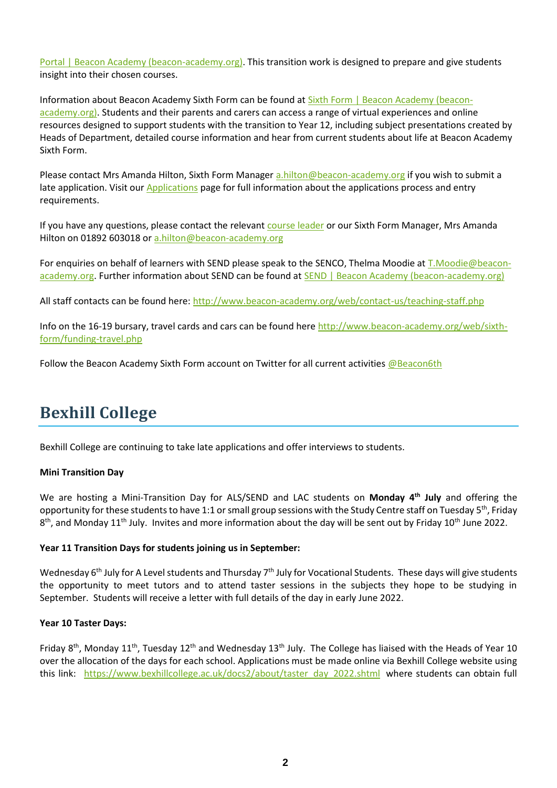[Portal | Beacon Academy \(beacon-academy.org\).](http://www.beacon-academy.org/web/sixth-form/year-11-into-year-12-transition-portal/) This transition work is designed to prepare and give students insight into their chosen courses.

Information about Beacon Academy Sixth Form can be found at [Sixth Form | Beacon Academy \(beacon](http://www.beacon-academy.org/web/sixth-form/)[academy.org\).](http://www.beacon-academy.org/web/sixth-form/) Students and their parents and carers can access a range of virtual experiences and online resources designed to support students with the transition to Year 12, including subject presentations created by Heads of Department, detailed course information and hear from current students about life at Beacon Academy Sixth Form.

Please contact Mrs Amanda Hilton, Sixth Form Manager [a.hilton@beacon-academy.org](mailto:a.hilton@beacon-academy.org) if you wish to submit a late application. Visit our [Applications](http://beacon-academy.org/web/sixth-form/applications.php) page for full information about the applications process and entry requirements.

If you have any questions, please contact the relevant [course leader](http://beacon-academy.org/web/contact-us/leaders-of-learning.php) or our Sixth Form Manager, Mrs Amanda Hilton on 01892 603018 or [a.hilton@beacon-academy.org](mailto:a.hilton@beacon-academy.org)

For enquiries on behalf of learners with SEND please speak to the SENCO, Thelma Moodie at [T.Moodie@beacon](mailto:T.Moodie@beacon-academy.org)[academy.org.](mailto:T.Moodie@beacon-academy.org) Further information about SEND can be found at [SEND | Beacon Academy \(beacon-academy.org\)](http://www.beacon-academy.org/web/teaching-learning/send.php)

All staff contacts can be found here: <http://www.beacon-academy.org/web/contact-us/teaching-staff.php>

Info on the 16-19 bursary, travel cards and cars can be found here [http://www.beacon-academy.org/web/sixth](http://www.beacon-academy.org/web/sixth-form/funding-travel.php)[form/funding-travel.php](http://www.beacon-academy.org/web/sixth-form/funding-travel.php)

Follow the Beacon Academy Sixth Form account on Twitter for all current activities [@Beacon6th](https://twitter.com/Beacon6th)

## **Bexhill College**

Bexhill College are continuing to take late applications and offer interviews to students.

#### **Mini Transition Day**

We are hosting a Mini-Transition Day for ALS/SEND and LAC students on **Monday 4th July** and offering the opportunity for these students to have 1:1 or small group sessions with the Study Centre staff on Tuesday 5<sup>th</sup>, Friday 8<sup>th</sup>, and Monday 11<sup>th</sup> July. Invites and more information about the day will be sent out by Friday 10<sup>th</sup> June 2022.

#### **Year 11 Transition Days for students joining us in September:**

Wednesday 6<sup>th</sup> July for A Level students and Thursday 7<sup>th</sup> July for Vocational Students. These days will give students the opportunity to meet tutors and to attend taster sessions in the subjects they hope to be studying in September. Students will receive a letter with full details of the day in early June 2022.

#### **Year 10 Taster Days:**

Friday 8<sup>th</sup>, Monday 11<sup>th</sup>, Tuesday 12<sup>th</sup> and Wednesday 13<sup>th</sup> July. The College has liaised with the Heads of Year 10 over the allocation of the days for each school. Applications must be made online via Bexhill College website using this link: [https://www.bexhillcollege.ac.uk/docs2/about/taster\\_day\\_2022.shtml](https://www.bexhillcollege.ac.uk/docs2/about/taster_day_2022.shtml) where students can obtain full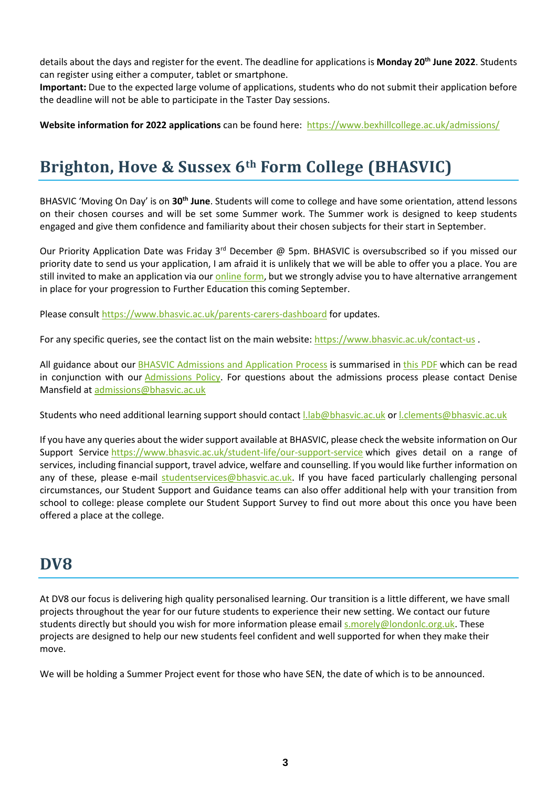details about the days and register for the event. The deadline for applications is **Monday 20th June 2022**. Students can register using either a computer, tablet or smartphone.

**Important:** Due to the expected large volume of applications, students who do not submit their application before the deadline will not be able to participate in the Taster Day sessions.

**Website information for 2022 applications** can be found here: <https://www.bexhillcollege.ac.uk/admissions/>

# **Brighton, Hove & Sussex 6th Form College (BHASVIC)**

BHASVIC 'Moving On Day' is on **30th June**. Students will come to college and have some orientation, attend lessons on their chosen courses and will be set some Summer work. The Summer work is designed to keep students engaged and give them confidence and familiarity about their chosen subjects for their start in September.

Our Priority Application Date was Friday 3<sup>rd</sup> December @ 5pm. BHASVIC is oversubscribed so if you missed our priority date to send us your application, I am afraid it is unlikely that we will be able to offer you a place. You are still invited to make an application via our [online form,](https://accord-application.com/) but we strongly advise you to have alternative arrangement in place for your progression to Further Education this coming September.

Please consult <https://www.bhasvic.ac.uk/parents-carers-dashboard> for updates.

For any specific queries, see the contact list on the main website:<https://www.bhasvic.ac.uk/contact-us> .

All guidance about our [BHASVIC Admissions and Application Process](https://www.bhasvic.ac.uk/media/pdf/bhasvic-admissions-and-application-guidance-3964.pdf) is summarised in [this PDF](https://www.bhasvic.ac.uk/media/pdf/bhasvic-admissions-and-application-guidance-3964.pdf) which can be read in conjunction with our [Admissions Policy.](https://www.bhasvic.ac.uk/the-college/policies) For questions about the admissions process please contact Denise Mansfield at [admissions@bhasvic.ac.uk](mailto:admissions@bhasvic.ac.uk)

Students who need additional learning support should contac[t l.lab@bhasvic.ac.uk](mailto:l.lab@bhasvic.ac.uk) o[r l.clements@bhasvic.ac.uk](mailto:l.clements@bhasvic.ac.uk)

If you have any queries about the wider support available at BHASVIC, please check the website information on Our Support Service <https://www.bhasvic.ac.uk/student-life/our-support-service> which gives detail on a range of services, including financial support, travel advice, welfare and counselling. If you would like further information on any of these, please e-mail [studentservices@bhasvic.ac.uk.](mailto:studentservices@bhasvic.ac.uk) If you have faced particularly challenging personal circumstances, our Student Support and Guidance teams can also offer additional help with your transition from school to college: please complete our Student Support Survey to find out more about this once you have been offered a place at the college.

### **DV8**

At DV8 our focus is delivering high quality personalised learning. Our transition is a little different, we have small projects throughout the year for our future students to experience their new setting. We contact our future students directly but should you wish for more information please email [s.morely@londonlc.org.uk.](mailto:s.morely@londonlc.org.uk) These projects are designed to help our new students feel confident and well supported for when they make their move.

We will be holding a Summer Project event for those who have SEN, the date of which is to be announced.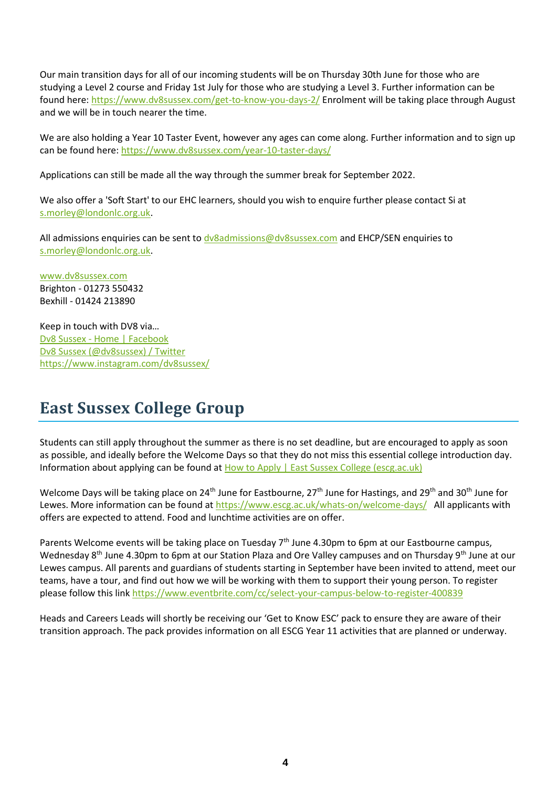Our main transition days for all of our incoming students will be on Thursday 30th June for those who are studying a Level 2 course and Friday 1st July for those who are studying a Level 3. Further information can be found here: <https://www.dv8sussex.com/get-to-know-you-days-2/> Enrolment will be taking place through August and we will be in touch nearer the time.

We are also holding a Year 10 Taster Event, however any ages can come along. Further information and to sign up can be found here: <https://www.dv8sussex.com/year-10-taster-days/>

Applications can still be made all the way through the summer break for September 2022.

We also offer a 'Soft Start' to our EHC learners, should you wish to enquire further please contact Si at [s.morley@londonlc.org.uk.](mailto:s.morley@londonlc.org.uk)

All admissions enquiries can be sent to [dv8admissions@dv8sussex.com](mailto:dv8admissions@dv8sussex.com) and EHCP/SEN enquiries to [s.morley@londonlc.org.uk.](mailto:s.morley@londonlc.org.uk)

[www.dv8sussex.com](http://www.dv8sussex.com/) Brighton - 01273 550432 Bexhill - 01424 213890

Keep in touch with DV8 via… Dv8 Sussex - [Home | Facebook](https://www.facebook.com/dv8brighton/) [Dv8 Sussex \(@dv8sussex\) / Twitter](https://twitter.com/dv8sussex) <https://www.instagram.com/dv8sussex/>

## **East Sussex College Group**

Students can still apply throughout the summer as there is no set deadline, but are encouraged to apply as soon as possible, and ideally before the Welcome Days so that they do not miss this essential college introduction day. Information about applying can be found at [How to Apply | East Sussex College \(escg.ac.uk\)](https://www.escg.ac.uk/study/how-to-apply/)

Welcome Days will be taking place on 24<sup>th</sup> June for Eastbourne, 27<sup>th</sup> June for Hastings, and 29<sup>th</sup> and 30<sup>th</sup> June for Lewes. More information can be found a[t https://www.escg.ac.uk/whats-on/welcome-days/](https://www.escg.ac.uk/whats-on/welcome-days/) All applicants with offers are expected to attend. Food and lunchtime activities are on offer.

Parents Welcome events will be taking place on Tuesday 7<sup>th</sup> June 4.30pm to 6pm at our Eastbourne campus, Wednesday 8<sup>th</sup> June 4.30pm to 6pm at our Station Plaza and Ore Valley campuses and on Thursday 9<sup>th</sup> June at our Lewes campus. All parents and guardians of students starting in September have been invited to attend, meet our teams, have a tour, and find out how we will be working with them to support their young person. To register please follow this link<https://www.eventbrite.com/cc/select-your-campus-below-to-register-400839>

Heads and Careers Leads will shortly be receiving our 'Get to Know ESC' pack to ensure they are aware of their transition approach. The pack provides information on all ESCG Year 11 activities that are planned or underway.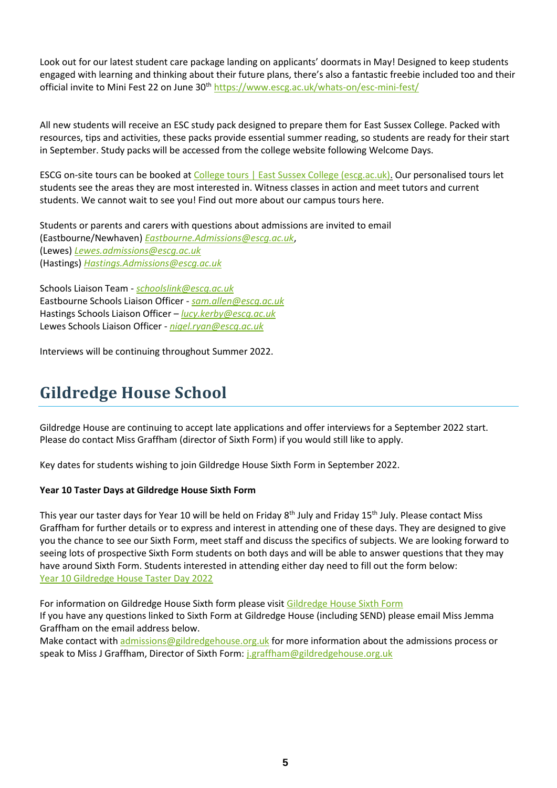Look out for our latest student care package landing on applicants' doormats in May! Designed to keep students engaged with learning and thinking about their future plans, there's also a fantastic freebie included too and their official invite to Mini Fest 22 on June 30<sup>th</sup> <https://www.escg.ac.uk/whats-on/esc-mini-fest/>

All new students will receive an ESC study pack designed to prepare them for East Sussex College. Packed with resources, tips and activities, these packs provide essential summer reading, so students are ready for their start in September. Study packs will be accessed from the college website following Welcome Days.

ESCG on-site tours can be booked at [College tours | East Sussex College \(escg.ac.uk\).](https://www.escg.ac.uk/whats-on/college-tours/) Our personalised tours let students see the areas they are most interested in. Witness classes in action and meet tutors and current students. We cannot wait to see you! Find out more about our campus tours here.

Students or parents and carers with questions about admissions are invited to email (Eastbourne/Newhaven) *[Eastbourne.Admissions@escg.ac.uk](mailto:Eastbourne.Admissions@escg.ac.uk)*, (Lewes) *[Lewes.admissions@escg.ac.uk](mailto:Lewes.admissions@escg.ac.uk)* (Hastings) *[Hastings.Admissions@escg.ac.uk](mailto:Hastings.Admissions@escg.ac.uk)*

Schools Liaison Team - *[schoolslink@escg.ac.uk](mailto:schoolslink@escg.ac.uk)* Eastbourne Schools Liaison Officer - *[sam.allen@escg.ac.uk](mailto:sam.allen@escg.ac.uk)* Hastings Schools Liaison Officer – *[lucy.kerby@escg.ac.uk](mailto:lucy.kerby@escg.ac.uk)* Lewes Schools Liaison Officer - *[nigel.ryan@escg.ac.uk](mailto:nigel.ryan@escg.ac.uk)*

Interviews will be continuing throughout Summer 2022.

# **Gildredge House School**

Gildredge House are continuing to accept late applications and offer interviews for a September 2022 start. Please do contact Miss Graffham (director of Sixth Form) if you would still like to apply.

Key dates for students wishing to join Gildredge House Sixth Form in September 2022.

#### **Year 10 Taster Days at Gildredge House Sixth Form**

This year our taster days for Year 10 will be held on Friday 8<sup>th</sup> July and Friday 15<sup>th</sup> July. Please contact Miss Graffham for further details or to express and interest in attending one of these days. They are designed to give you the chance to see our Sixth Form, meet staff and discuss the specifics of subjects. We are looking forward to seeing lots of prospective Sixth Form students on both days and will be able to answer questions that they may have around Sixth Form. Students interested in attending either day need to fill out the form below: [Year 10 Gildredge House Taster Day 2022](https://docs.google.com/forms/d/e/1FAIpQLScMBQXD0RoTekXZxwso328AFEkRUM3gq2SKAIV2u5TsgEkWPQ/viewform?usp=sf_link)

For information on Gildredge House Sixth form please visi[t Gildredge House Sixth Form](https://www.gildredgehouse.org.uk/sixth-form/) If you have any questions linked to Sixth Form at Gildredge House (including SEND) please email Miss Jemma Graffham on the email address below.

Make contact wit[h admissions@gildredgehouse.org.uk](mailto:admissions@gildredgehouse.org.uk) for more information about the admissions process or speak to Miss J Graffham, Director of Sixth Form[: j.graffham@gildredgehouse.org.uk](mailto:j.graffham@gildredgehouse.org.uk)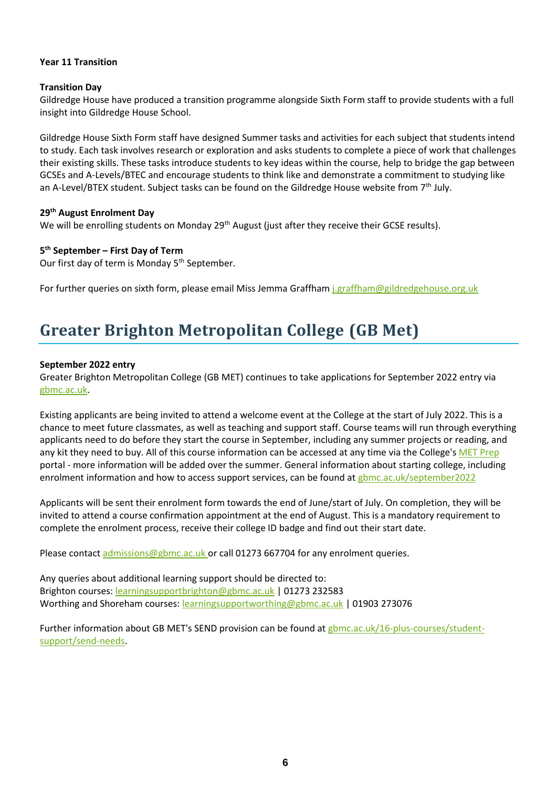#### **Year 11 Transition**

#### **Transition Day**

Gildredge House have produced a transition programme alongside Sixth Form staff to provide students with a full insight into Gildredge House School.

Gildredge House Sixth Form staff have designed Summer tasks and activities for each subject that students intend to study. Each task involves research or exploration and asks students to complete a piece of work that challenges their existing skills. These tasks introduce students to key ideas within the course, help to bridge the gap between GCSEs and A-Levels/BTEC and encourage students to think like and demonstrate a commitment to studying like an A-Level/BTEX student. Subject tasks can be found on the Gildredge House website from  $7<sup>th</sup>$  July.

#### **29th August Enrolment Day**

We will be enrolling students on Monday 29<sup>th</sup> August (just after they receive their GCSE results).

#### **5 th September – First Day of Term**

Our first day of term is Monday 5<sup>th</sup> September.

For further queries on sixth form, please email Miss Jemma Graffham [j.graffham@gildredgehouse.org.uk](mailto:j.graffham@gildredgehouse.org.uk)

## **Greater Brighton Metropolitan College (GB Met)**

#### **September 2022 entry**

Greater Brighton Metropolitan College (GB MET) continues to take applications for September 2022 entry via [gbmc.ac.uk.](https://www.gbmc.ac.uk/)

Existing applicants are being invited to attend a welcome event at the College at the start of July 2022. This is a chance to meet future classmates, as well as teaching and support staff. Course teams will run through everything applicants need to do before they start the course in September, including any summer projects or reading, and any kit they need to buy. All of this course information can be accessed at any time via the College'[s MET Prep](https://www.gbmc.ac.uk/16-plus-courses/met-prep) portal - more information will be added over the summer. General information about starting college, including enrolment information and how to access support services, can be found at [gbmc.ac.uk/september2022](https://www.gbmc.ac.uk/16-plus-courses/september2022)

Applicants will be sent their enrolment form towards the end of June/start of July. On completion, they will be invited to attend a course confirmation appointment at the end of August. This is a mandatory requirement to complete the enrolment process, receive their college ID badge and find out their start date.

Please contact [admissions@gbmc.ac.uk o](mailto:admissions@gbmc.ac.uk)r call 01273 667704 for any enrolment queries.

Any queries about additional learning support should be directed to: Brighton courses: [learningsupportbrighton@gbmc.ac.uk](mailto:learningsupportbrighton@gbmc.ac.uk) | 01273 232583 Worthing and Shoreham courses: [learningsupportworthing@gbmc.ac.uk](mailto:learningsupportworthing@gbmc.ac.uk) | 01903 273076

Further information about GB MET's SEND provision can be found at [gbmc.ac.uk/16-plus-courses/student](https://www.gbmc.ac.uk/16-plus-courses/student-support/send-needs)[support/send-needs.](https://www.gbmc.ac.uk/16-plus-courses/student-support/send-needs)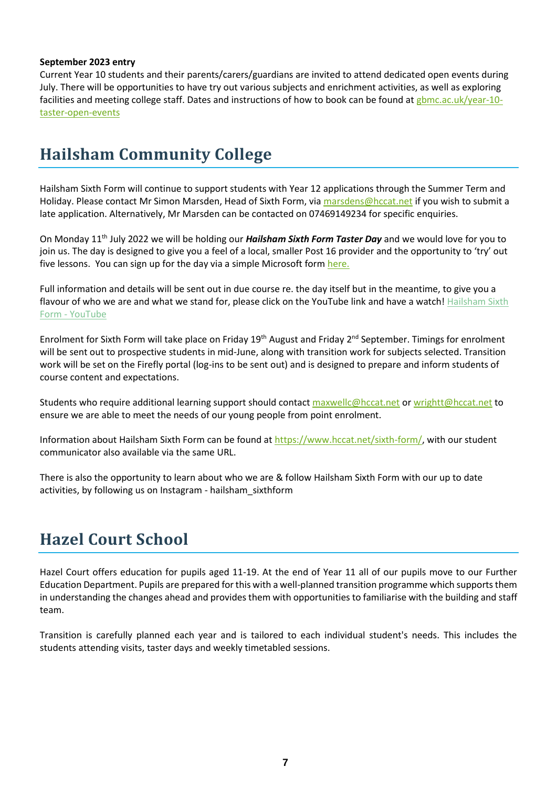#### **September 2023 entry**

Current Year 10 students and their parents/carers/guardians are invited to attend dedicated open events during July. There will be opportunities to have try out various subjects and enrichment activities, as well as exploring facilities and meeting college staff. Dates and instructions of how to book can be found at [gbmc.ac.uk/year-10](https://www.gbmc.ac.uk/year-10-taster-open-events) [taster-open-events](https://www.gbmc.ac.uk/year-10-taster-open-events)

### **Hailsham Community College**

Hailsham Sixth Form will continue to support students with Year 12 applications through the Summer Term and Holiday. Please contact Mr Simon Marsden, Head of Sixth Form, via [marsdens@hccat.net](mailto:marsdens@hccat.net) if you wish to submit a late application. Alternatively, Mr Marsden can be contacted on 07469149234 for specific enquiries.

On Monday 11th July 2022 we will be holding our *Hailsham Sixth Form Taster Day* and we would love for you to join us. The day is designed to give you a feel of a local, smaller Post 16 provider and the opportunity to 'try' out five lessons. You can sign up for the day via a simple Microsoft form [here.](https://forms.office.com/Pages/ResponsePage.aspx?id=HTpUUoYdXEGbqdt5HKRXeb2m4_WJveRIj4pWRsk9rdtUOE5DWVkzSUZZQzFFTFNQWU9XQklKUkJWWiQlQCN0PWcu) 

Full information and details will be sent out in due course re. the day itself but in the meantime, to give you a flavour of who we are and what we stand for, please click on the YouTube link and have a watch! Hailsham Sixth Form - [YouTube](https://www.youtube.com/watch?v=BLSlf1vZCE8&t=8s)

Enrolment for Sixth Form will take place on Friday 19<sup>th</sup> August and Friday 2<sup>nd</sup> September. Timings for enrolment will be sent out to prospective students in mid-June, along with transition work for subjects selected. Transition work will be set on the Firefly portal (log-ins to be sent out) and is designed to prepare and inform students of course content and expectations.

Students who require additional learning support should contact [maxwellc@hccat.net](mailto:maxwellc@hccat.net) or [wrightt@hccat.net](mailto:wrightt@hccat.net) to ensure we are able to meet the needs of our young people from point enrolment.

Information about Hailsham Sixth Form can be found a[t https://www.hccat.net/sixth-form/,](https://www.hccat.net/sixth-form/) with our student communicator also available via the same URL.

There is also the opportunity to learn about who we are & follow Hailsham Sixth Form with our up to date activities, by following us on Instagram - hailsham\_sixthform

## **Hazel Court School**

Hazel Court offers education for pupils aged 11-19. At the end of Year 11 all of our pupils move to our Further Education Department. Pupils are prepared for this with a well-planned transition programme which supports them in understanding the changes ahead and provides them with opportunities to familiarise with the building and staff team.

Transition is carefully planned each year and is tailored to each individual student's needs. This includes the students attending visits, taster days and weekly timetabled sessions.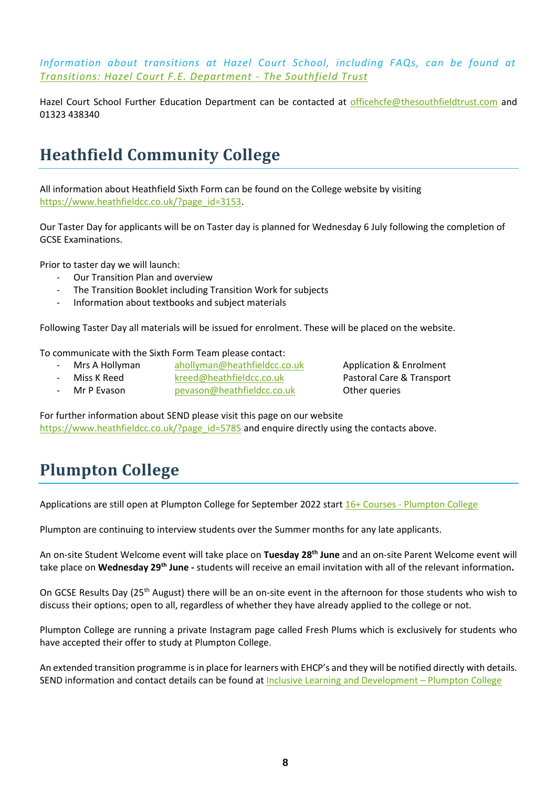*Information about transitions at Hazel Court School, including FAQs, can be found at [Transitions: Hazel Court F.E. Department -](http://www.thesouthfieldtrust.com/1600/transitions-hazel-court-fe-department) The Southfield Trust*

Hazel Court School Further Education Department can be contacted at [officehcfe@thesouthfieldtrust.com](mailto:officehcfe@thesouthfieldtrust.com) and 01323 438340

## **Heathfield Community College**

All information about Heathfield Sixth Form can be found on the College website by visiting [https://www.heathfieldcc.co.uk/?page\\_id=3153.](https://www.heathfieldcc.co.uk/?page_id=3153)

Our Taster Day for applicants will be on Taster day is planned for Wednesday 6 July following the completion of GCSE Examinations.

Prior to taster day we will launch:

- Our Transition Plan and overview
- The Transition Booklet including Transition Work for subjects
- Information about textbooks and subject materials

Following Taster Day all materials will be issued for enrolment. These will be placed on the website.

To communicate with the Sixth Form Team please contact:

- Mrs A Hollyman [ahollyman@heathfieldcc.co.uk](mailto:ahollyman@heathfieldcc.co.uk) Application & Enrolment
- Miss K Reed [kreed@heathfieldcc.co.uk](mailto:kreed@heathfieldcc.co.uk) Pastoral Care & Transport
- Mr P Evason [pevason@heathfieldcc.co.uk](mailto:pevason@heathfieldcc.co.uk) Other queries

For further information about SEND please visit this page on our website [https://www.heathfieldcc.co.uk/?page\\_id=5785](https://www.heathfieldcc.co.uk/?page_id=5785) and enquire directly using the contacts above.

## **Plumpton College**

Applications are still open at [Plumpton College](https://www.plumpton.ac.uk/courses/16-courses/) for September 2022 start 16+ Courses - Plumpton College

Plumpton are continuing to interview students over the Summer months for any late applicants.

An on-site Student Welcome event will take place on **Tuesday 28th June** and an on-site Parent Welcome event will take place on **Wednesday 29th June -** students will receive an email invitation with all of the relevant information**.** 

On GCSE Results Day (25<sup>th</sup> August) there will be an on-site event in the afternoon for those students who wish to discuss their options; open to all, regardless of whether they have already applied to the college or not.

Plumpton College are running a private Instagram page called Fresh Plums which is exclusively for students who have accepted their offer to study at Plumpton College.

An extended transition programme is in place for learners with EHCP's and they will be notified directly with details. SEND information and contact details can be found a[t Inclusive Learning and Development](https://www.plumpton.ac.uk/student-info/additional-learning-support/) – Plumpton College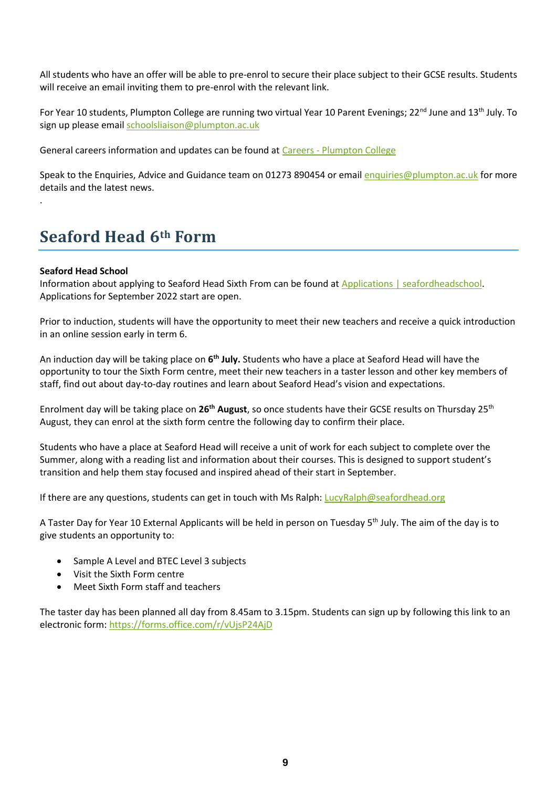All students who have an offer will be able to pre-enrol to secure their place subject to their GCSE results. Students will receive an email inviting them to pre-enrol with the relevant link.

For Year 10 students, Plumpton College are running two virtual Year 10 Parent Evenings; 22<sup>nd</sup> June and 13<sup>th</sup> July. To sign up please email [schoolsliaison@plumpton.ac.uk](mailto:schoolsliaison@plumpton.ac.uk)

General careers information and updates can be found at Careers - [Plumpton College](https://www.plumpton.ac.uk/student-info/careers/)

Speak to the Enquiries, Advice and Guidance team on 01273 890454 or emai[l enquiries@plumpton.ac.uk](mailto:enquiries@plumpton.ac.uk) for more details and the latest news.

### **Seaford Head 6th Form**

#### **Seaford Head School**

.

Information about applying to Seaford Head Sixth From can be found at [Applications | seafordheadschool.](https://www.seafordhead.org/applications) Applications for September 2022 start are open.

Prior to induction, students will have the opportunity to meet their new teachers and receive a quick introduction in an online session early in term 6.

An induction day will be taking place on **6 th July.** Students who have a place at Seaford Head will have the opportunity to tour the Sixth Form centre, meet their new teachers in a taster lesson and other key members of staff, find out about day-to-day routines and learn about Seaford Head's vision and expectations.

Enrolment day will be taking place on **26th August**, so once students have their GCSE results on Thursday 25th August, they can enrol at the sixth form centre the following day to confirm their place.

Students who have a place at Seaford Head will receive a unit of work for each subject to complete over the Summer, along with a reading list and information about their courses. This is designed to support student's transition and help them stay focused and inspired ahead of their start in September.

If there are any questions, students can get in touch with Ms Ralph[: LucyRalph@seafordhead.org](mailto:LucyRalph@seafordhead.org)

A Taster Day for Year 10 External Applicants will be held in person on Tuesday 5<sup>th</sup> July. The aim of the day is to give students an opportunity to:

- Sample A Level and BTEC Level 3 subjects
- Visit the Sixth Form centre
- Meet Sixth Form staff and teachers

The taster day has been planned all day from 8.45am to 3.15pm. Students can sign up by following this link to an electronic form[: https://forms.office.com/r/vUjsP24AjD](https://forms.office.com/r/vUjsP24AjD)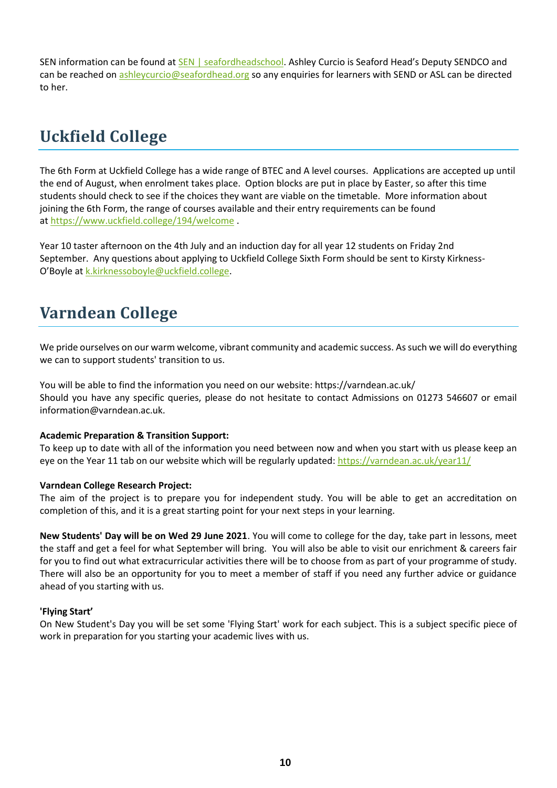SEN information can be found a[t SEN | seafordheadschool](https://www.seafordhead.org/sen). Ashley Curcio is Seaford Head's Deputy SENDCO and can be reached on [ashleycurcio@seafordhead.org](mailto:ashleycurcio@seafordhead.org) so any enquiries for learners with SEND or ASL can be directed to her.

# **Uckfield College**

The 6th Form at Uckfield College has a wide range of BTEC and A level courses. Applications are accepted up until the end of August, when enrolment takes place. Option blocks are put in place by Easter, so after this time students should check to see if the choices they want are viable on the timetable. More information about joining the 6th Form, the range of courses available and their entry requirements can be found at <https://www.uckfield.college/194/welcome> .

Year 10 taster afternoon on the 4th July and an induction day for all year 12 students on Friday 2nd September. Any questions about applying to Uckfield College Sixth Form should be sent to Kirsty Kirkness-O'Boyle at [k.kirknessoboyle@uckfield.college.](mailto:k.kirknessoboyle@uckfield.college)

# **Varndean College**

We pride ourselves on our warm welcome, vibrant community and academic success. As such we will do everything we can to support students' transition to us.

You will be able to find the information you need on our website: https://varndean.ac.uk/ Should you have any specific queries, please do not hesitate to contact Admissions on 01273 546607 or email information@varndean.ac.uk.

#### **Academic Preparation & Transition Support:**

To keep up to date with all of the information you need between now and when you start with us please keep an eye on the Year 11 tab on our website which will be regularly updated:<https://varndean.ac.uk/year11/>

#### **Varndean College Research Project:**

The aim of the project is to prepare you for independent study. You will be able to get an accreditation on completion of this, and it is a great starting point for your next steps in your learning.

**New Students' Day will be on Wed 29 June 2021**. You will come to college for the day, take part in lessons, meet the staff and get a feel for what September will bring. You will also be able to visit our enrichment & careers fair for you to find out what extracurricular activities there will be to choose from as part of your programme of study. There will also be an opportunity for you to meet a member of staff if you need any further advice or guidance ahead of you starting with us.

#### **'Flying Start'**

On New Student's Day you will be set some 'Flying Start' work for each subject. This is a subject specific piece of work in preparation for you starting your academic lives with us.